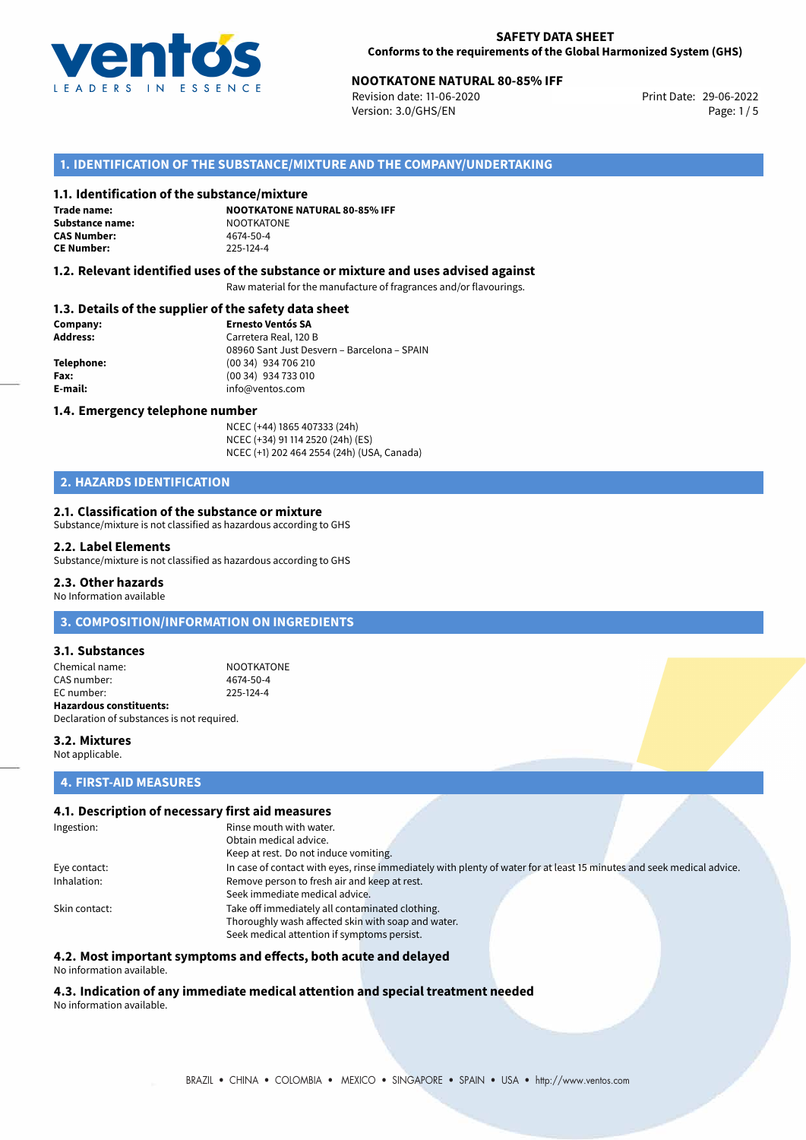

# **NOOTKATONE NATURAL 80-85% IFF**<br>
Revision date: 11-06-2020<br>
Print Date: 29-06-2022

Revision date: 11-06-2020 Version: 3.0/GHS/EN Page: 1/5

### **1. IDENTIFICATION OF THE SUBSTANCE/MIXTURE AND THE COMPANY/UNDERTAKING**

### **1.1. Identification of the substance/mixture**

**Trade name: Substance name:** NOOTKATONE<br> **CAS Number:** 4674-50-4 **CAS Number: CE Number:** 225-124-4

**NOOTKATONE NATURAL 80-85% IFF**

### **1.2. Relevant identified uses of the substance or mixture and uses advised against**

Raw material for the manufacture of fragrances and/or flavourings.

### **1.3. Details of the supplier of the safety data sheet**

| Company:   | <b>Ernesto Ventós SA</b>                    |
|------------|---------------------------------------------|
| Address:   | Carretera Real, 120 B                       |
|            | 08960 Sant Just Desvern - Barcelona - SPAIN |
| Telephone: | (00 34) 934 706 210                         |
| Fax:       | (00 34) 934 733 010                         |
| E-mail:    | info@ventos.com                             |
|            |                                             |

### **1.4. Emergency telephone number**

NCEC (+44) 1865 407333 (24h) NCEC (+34) 91 114 2520 (24h) (ES) NCEC (+1) 202 464 2554 (24h) (USA, Canada)

# **2. HAZARDS IDENTIFICATION**

### **2.1. Classification of the substance or mixture**

Substance/mixture is not classified as hazardous according to GHS

#### **2.2. Label Elements**

Substance/mixture is not classified as hazardous according to GHS

### **2.3. Other hazards**

No Information available

### **3. COMPOSITION/INFORMATION ON INGREDIENTS**

### **3.1. Substances**

Chemical name: NOOTKATONE CAS number: 4674-50-4<br>
FC number: 225-124-4  $FC number$ **Hazardous constituents:** Declaration of substances is not required.

### **3.2. Mixtures** Not applicable.

### **4. FIRST-AID MEASURES**

### **4.1. Description of necessary first aid measures**

| Ingestion:    | Rinse mouth with water.                                                                                               |
|---------------|-----------------------------------------------------------------------------------------------------------------------|
|               | Obtain medical advice.                                                                                                |
|               | Keep at rest. Do not induce vomiting.                                                                                 |
| Eye contact:  | In case of contact with eyes, rinse immediately with plenty of water for at least 15 minutes and seek medical advice. |
| Inhalation:   | Remove person to fresh air and keep at rest.                                                                          |
|               | Seek immediate medical advice.                                                                                        |
| Skin contact: | Take off immediately all contaminated clothing.                                                                       |
|               | Thoroughly wash affected skin with soap and water.                                                                    |
|               | Seek medical attention if symptoms persist.                                                                           |

### **4.2. Most important symptoms and effects, both acute and delayed**

No information available.

# **4.3. Indication of any immediate medical attention and special treatment needed**

No information available.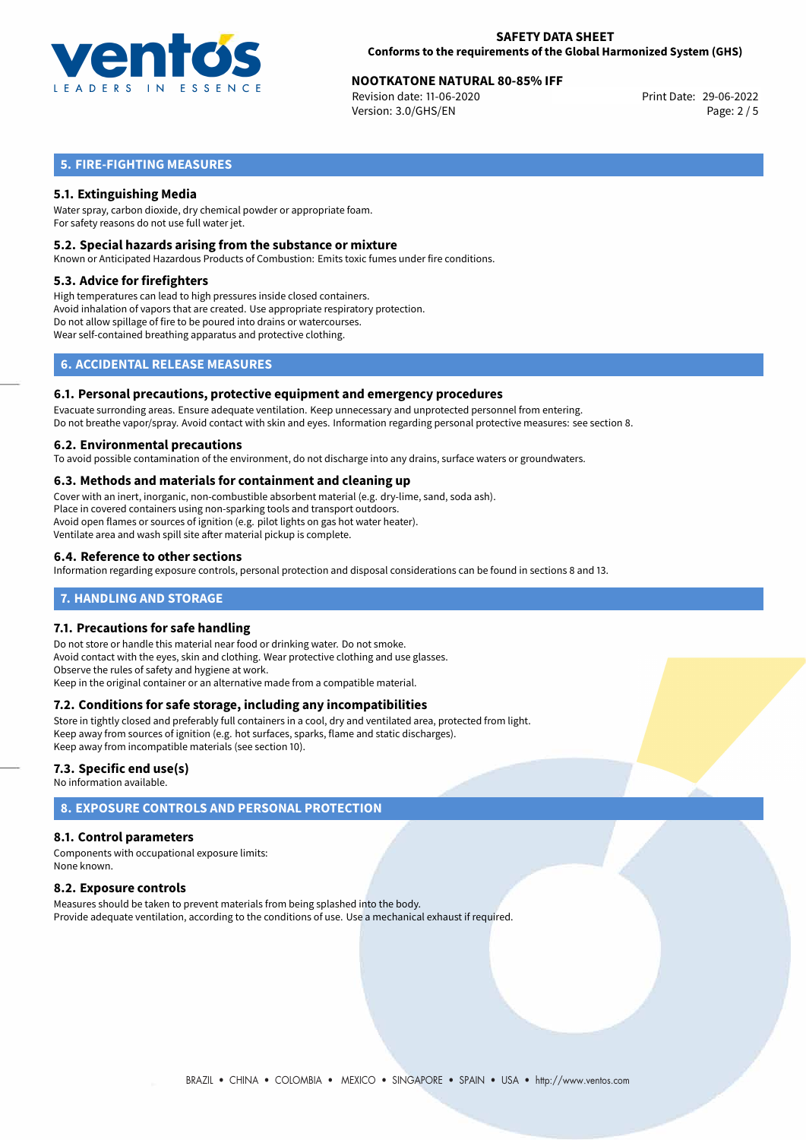

# **NOOTKATONE NATURAL 80-85% IFF**<br>
Revision date: 11-06-2020<br>
Print Date: 29-06-2022

Revision date: 11-06-2020 Version: 3.0/GHS/EN Page: 2 / 5

# **5. FIRE-FIGHTING MEASURES**

### **5.1. Extinguishing Media**

Water spray, carbon dioxide, dry chemical powder or appropriate foam. For safety reasons do not use full water jet.

### **5.2. Special hazards arising from the substance or mixture**

Known or Anticipated Hazardous Products of Combustion: Emits toxic fumes under fire conditions.

### **5.3. Advice for firefighters**

High temperatures can lead to high pressures inside closed containers. Avoid inhalation of vapors that are created. Use appropriate respiratory protection. Do not allow spillage of fire to be poured into drains or watercourses. Wear self-contained breathing apparatus and protective clothing.

# **6. ACCIDENTAL RELEASE MEASURES**

### **6.1. Personal precautions, protective equipment and emergency procedures**

Evacuate surronding areas. Ensure adequate ventilation. Keep unnecessary and unprotected personnel from entering. Do not breathe vapor/spray. Avoid contact with skin and eyes. Information regarding personal protective measures: see section 8.

### **6.2. Environmental precautions**

To avoid possible contamination of the environment, do not discharge into any drains, surface waters or groundwaters.

### **6.3. Methods and materials for containment and cleaning up**

Cover with an inert, inorganic, non-combustible absorbent material (e.g. dry-lime, sand, soda ash). Place in covered containers using non-sparking tools and transport outdoors. Avoid open flames or sources of ignition (e.g. pilot lights on gas hot water heater). Ventilate area and wash spill site after material pickup is complete.

### **6.4. Reference to other sections**

Information regarding exposure controls, personal protection and disposal considerations can be found in sections 8 and 13.

### **7. HANDLING AND STORAGE**

### **7.1. Precautions for safe handling**

Do not store or handle this material near food or drinking water. Do not smoke. Avoid contact with the eyes, skin and clothing. Wear protective clothing and use glasses. Observe the rules of safety and hygiene at work. Keep in the original container or an alternative made from a compatible material.

### **7.2. Conditions for safe storage, including any incompatibilities**

Store in tightly closed and preferably full containers in a cool, dry and ventilated area, protected from light. Keep away from sources of ignition (e.g. hot surfaces, sparks, flame and static discharges). Keep away from incompatible materials (see section 10).

### **7.3. Specific end use(s)**

No information available.

# **8. EXPOSURE CONTROLS AND PERSONAL PROTECTION**

### **8.1. Control parameters**

Components with occupational exposure limits: None known.

### **8.2. Exposure controls**

Measures should be taken to prevent materials from being splashed into the body. Provide adequate ventilation, according to the conditions of use. Use a mechanical exhaust if required.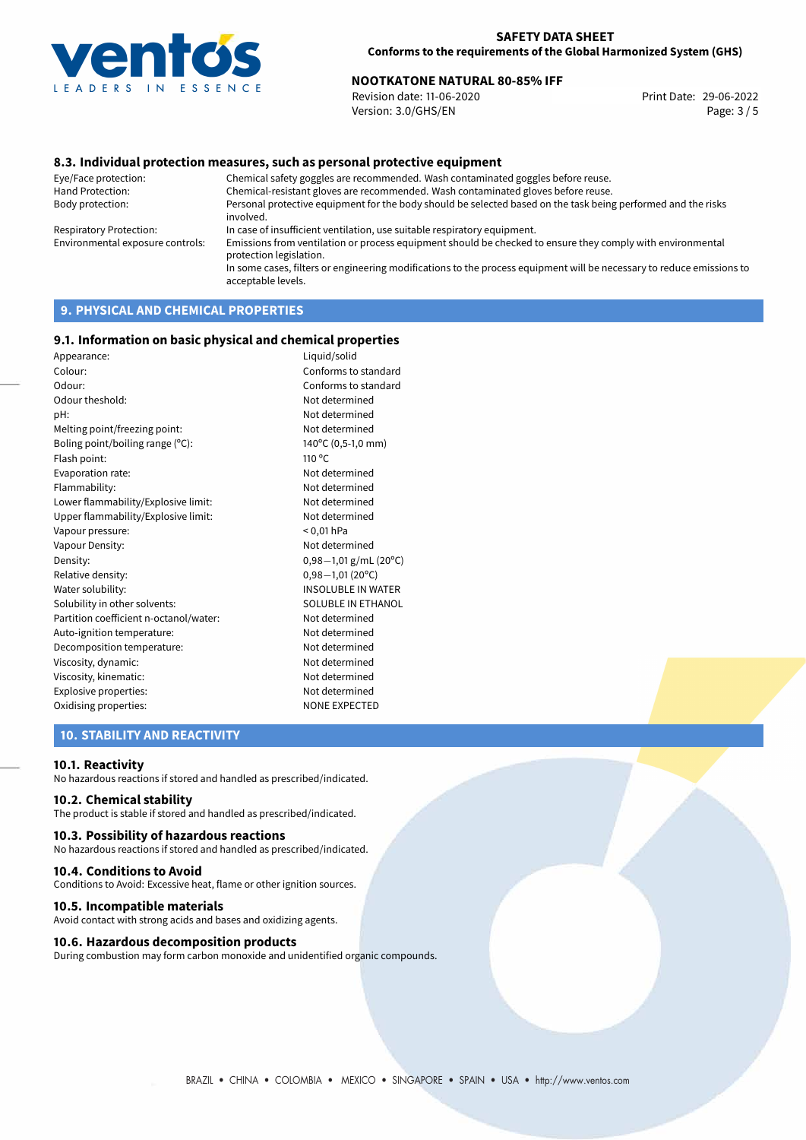

# **NOOTKATONE NATURAL 80-85% IFF**<br>Revision date: 11-06-2020 **Print Date: 29-06-2022**

Revision date: 11-06-2020 Version: 3.0/GHS/EN Page: 3 / 5

### **8.3. Individual protection measures, such as personal protective equipment**

Eye/Face protection: Chemical safety goggles are recommended. Wash contaminated goggles before reuse. Chemical-resistant gloves are recommended. Wash contaminated gloves before reuse. Body protection: Personal protective equipment for the body should be selected based on the task being performed and the risks involved. Respiratory Protection: In case of insufficient ventilation, use suitable respiratory equipment. Environmental exposure controls: Emissions from ventilation or process equipment should be checked to ensure they comply with environmental protection legislation. In some cases, filters or engineering modifications to the process equipment will be necessary to reduce emissions to acceptable levels.

# **9. PHYSICAL AND CHEMICAL PROPERTIES**

### **9.1. Information on basic physical and chemical properties**

| Appearance:                            | Liquid/solid              |
|----------------------------------------|---------------------------|
| Colour:                                | Conforms to standard      |
| Odour:                                 | Conforms to standard      |
| Odour theshold:                        | Not determined            |
| pH:                                    | Not determined            |
| Melting point/freezing point:          | Not determined            |
| Boling point/boiling range (°C):       | 140°C (0,5-1,0 mm)        |
| Flash point:                           | $110^{\circ}$ C           |
| Evaporation rate:                      | Not determined            |
| Flammability:                          | Not determined            |
| Lower flammability/Explosive limit:    | Not determined            |
| Upper flammability/Explosive limit:    | Not determined            |
| Vapour pressure:                       | $< 0.01$ hPa              |
| Vapour Density:                        | Not determined            |
| Density:                               | $0,98-1,01$ g/mL (20°C)   |
| Relative density:                      | $0,98 - 1,01(20°C)$       |
| Water solubility:                      | <b>INSOLUBLE IN WATER</b> |
| Solubility in other solvents:          | SOLUBLE IN ETHANOL        |
| Partition coefficient n-octanol/water: | Not determined            |
| Auto-ignition temperature:             | Not determined            |
| Decomposition temperature:             | Not determined            |
| Viscosity, dynamic:                    | Not determined            |
| Viscosity, kinematic:                  | Not determined            |
| Explosive properties:                  | Not determined            |
| Oxidising properties:                  | <b>NONE EXPECTED</b>      |
|                                        |                           |

### **10. STABILITY AND REACTIVITY**

### **10.1. Reactivity**

No hazardous reactions if stored and handled as prescribed/indicated.

### **10.2. Chemical stability**

The product is stable if stored and handled as prescribed/indicated.

### **10.3. Possibility of hazardous reactions**

No hazardous reactions if stored and handled as prescribed/indicated.

### **10.4. Conditions to Avoid**

Conditions to Avoid: Excessive heat, flame or other ignition sources.

### **10.5. Incompatible materials**

Avoid contact with strong acids and bases and oxidizing agents.

### **10.6. Hazardous decomposition products**

During combustion may form carbon monoxide and unidentified organic compounds.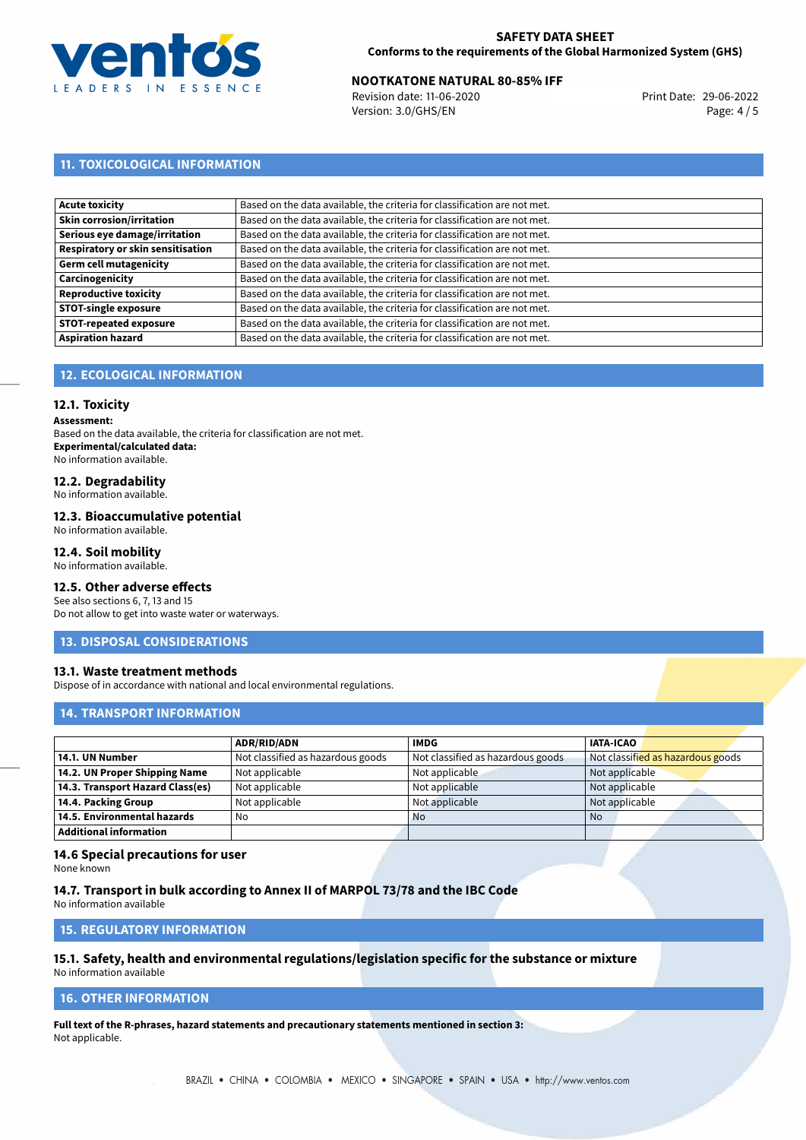

# **NOOTKATONE NATURAL 80-85% IFF**<br>
Revision date: 11-06-2020<br>
Print Date: 29-06-2022

Revision date: 11-06-2020 Version: 3.0/GHS/EN Page: 4 / 5

# **11. TOXICOLOGICAL INFORMATION**

| Based on the data available, the criteria for classification are not met. |
|---------------------------------------------------------------------------|
| Based on the data available, the criteria for classification are not met. |
| Based on the data available, the criteria for classification are not met. |
| Based on the data available, the criteria for classification are not met. |
| Based on the data available, the criteria for classification are not met. |
| Based on the data available, the criteria for classification are not met. |
| Based on the data available, the criteria for classification are not met. |
| Based on the data available, the criteria for classification are not met. |
| Based on the data available, the criteria for classification are not met. |
| Based on the data available, the criteria for classification are not met. |
|                                                                           |

# **12. ECOLOGICAL INFORMATION**

### **12.1. Toxicity**

**Assessment:**

Based on the data available, the criteria for classification are not met. **Experimental/calculated data:** No information available.

# **12.2. Degradability**

No information available.

### **12.3. Bioaccumulative potential**

No information available.

### **12.4. Soil mobility**

No information available.

## **12.5. Other adverse effects**

See also sections 6, 7, 13 and 15 Do not allow to get into waste water or waterways.

### **13. DISPOSAL CONSIDERATIONS**

### **13.1. Waste treatment methods**

Dispose of in accordance with national and local environmental regulations.

### **14. TRANSPORT INFORMATION**

|                                  | <b>ADR/RID/ADN</b>                | <b>IMDG</b>                       | <b>IATA-ICAO</b>                  |
|----------------------------------|-----------------------------------|-----------------------------------|-----------------------------------|
| 14.1. UN Number                  | Not classified as hazardous goods | Not classified as hazardous goods | Not classified as hazardous goods |
| 14.2. UN Proper Shipping Name    | Not applicable                    | Not applicable                    | Not applicable                    |
| 14.3. Transport Hazard Class(es) | Not applicable                    | Not applicable                    | Not applicable                    |
| 14.4. Packing Group              | Not applicable                    | Not applicable                    | Not applicable                    |
| 14.5. Environmental hazards      | No                                | <b>No</b>                         | No                                |
| <b>Additional information</b>    |                                   |                                   |                                   |

### **14.6 Special precautions for user**

None known

### **14.7. Transport in bulk according to Annex II of MARPOL 73/78 and the IBC Code**

No information available

# **15. REGULATORY INFORMATION**

# **15.1. Safety, health and environmental regulations/legislation specific for the substance or mixture**

No information available

# **16. OTHER INFORMATION**

**Full text of the R-phrases, hazard statements and precautionary statements mentioned in section 3:** Not applicable.